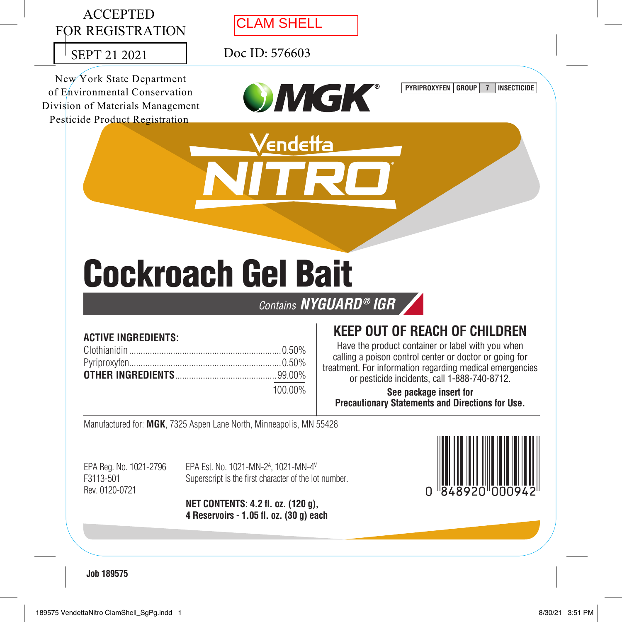

# Cockroach Gel Bait

Contains NYGUARD® IGR

### **ACTIVE INGREDIENTS:**

| 100.00% |
|---------|

# **KEEP OUT OF REACH OF CHILDREN**

Have the product container or label with you when calling a poison control center or doctor or going for treatment. For information regarding medical emergencies or pesticide incidents, call 1-888-740-8712.

**See package insert for for Precautionary Statements and Directions for Use.**

Manufactured for: **MGK**, 7325 Aspen Lane North, Minneapolis, MN 55428

Rev. 0120-0721 EPA Reg. No. 1021-2796

EPA Reg. No. 1021-2796 EPA Est. No. 1021-MN-2A , 1021-MN-4V F3113-501 Superscript is the first character of the lot number.

> **NET CONTENTS: 4.2 fl. oz. (120 g), g), 4 Reservoirs - 1.05 fl. oz. (30 g) each**



**Job 189575**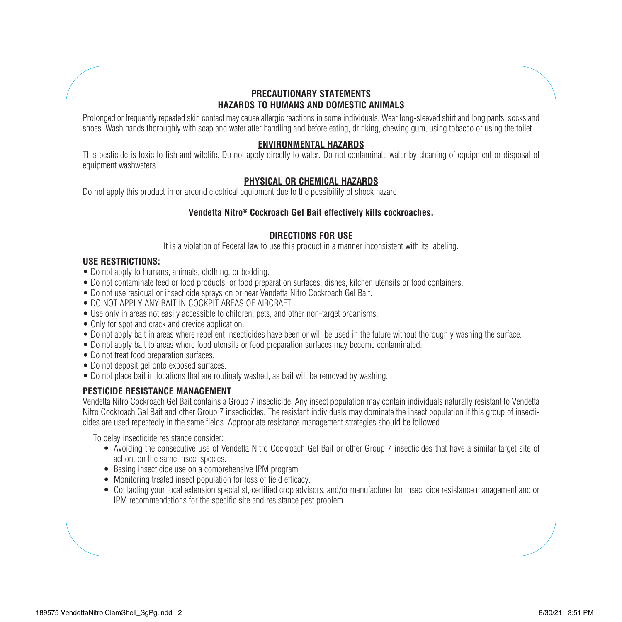#### **PRECAUTIONARY STATEMENTS HAZARDS TO HUMANS AND DOMESTIC ANIMALS**

Prolonged or frequently repeated skin contact may cause allergic reactions in some individuals. Wear long-sleeved shirt and long pants, socks and shoes. Wash hands thoroughly with soap and water after handling and before eating, drinking, chewing gum, using tobacco or using the toilet.

#### **ENVIRONMENTAL HAZARDS**

This pesticide is toxic to fish and wildlife. Do not apply directly to water. Do not contaminate water by cleaning of equipment or disposal of equipment washwaters.

#### **PHYSICAL OR CHEMICAL HAZARDS**

Do not apply this product in or around electrical equipment due to the possibility of shock hazard.

#### **Vendetta Nitro® Cockroach Gel Bait effectively kills cockroaches.**

#### **DIRECTIONS FOR USE**

It is a violation of Federal law to use this product in a manner inconsistent with its labeling.

#### **USE RESTRICTIONS:**

- Do not apply to humans, animals, clothing, or bedding.
- Do not contaminate feed or food products, or food preparation surfaces, dishes, kitchen utensils or food containers.
- Do not use residual or insecticide sprays on or near Vendetta Nitro Cockroach Gel Bait.
- DO NOT APPLY ANY BAIT IN COCKPIT AREAS OF AIRCRAFT.
- Use only in areas not easily accessible to children, pets, and other non-target organisms.
- Only for spot and crack and crevice application.
- Do not apply bait in areas where repellent insecticides have been or will be used in the future without thoroughly washing the surface.
- Do not apply bait to areas where food utensils or food preparation surfaces may become contaminated.
- Do not treat food preparation surfaces.
- Do not deposit gel onto exposed surfaces.
- Do not place bait in locations that are routinely washed, as bait will be removed by washing.

#### **PESTICIDE RESISTANCE MANAGEMENT**

Vendetta Nitro Cockroach Gel Bait contains a Group 7 insecticide. Any insect population may contain individuals naturally resistant to Vendetta Nitro Cockroach Gel Bait and other Group 7 insecticides. The resistant individuals may dominate the insect population if this group of insecticides are used repeatedly in the same fields. Appropriate resistance management strategies should be followed.

To delay insecticide resistance consider:

- Avoiding the consecutive use of Vendetta Nitro Cockroach Gel Bait or other Group 7 insecticides that have a similar target site of action, on the same insect species.
- Basing insecticide use on a comprehensive IPM program.
- Monitoring treated insect population for loss of field efficacy.
- Contacting your local extension specialist, certified crop advisors, and/or manufacturer for insecticide resistance management and or IPM recommendations for the specific site and resistance pest problem.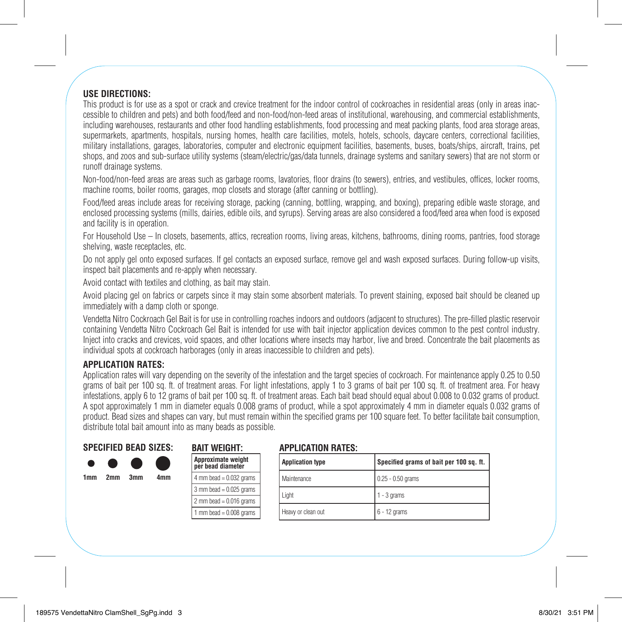#### **USE DIRECTIONS:**

This product is for use as a spot or crack and crevice treatment for the indoor control of cockroaches in residential areas (only in areas inaccessible to children and pets) and both food/feed and non-food/non-feed areas of institutional, warehousing, and commercial establishments, including warehouses, restaurants and other food handling establishments, food processing and meat packing plants, food area storage areas, supermarkets, apartments, hospitals, nursing homes, health care facilities, motels, hotels, schools, daycare centers, correctional facilities, military installations, garages, laboratories, computer and electronic equipment facilities, basements, buses, boats/ships, aircraft, trains, pet shops, and zoos and sub-surface utility systems (steam/electric/gas/data tunnels, drainage systems and sanitary sewers) that are not storm or runoff drainage systems.

Non-food/non-feed areas are areas such as garbage rooms, lavatories, floor drains (to sewers), entries, and vestibules, offices, locker rooms, machine rooms, boiler rooms, garages, mop closets and storage (after canning or bottling).

Food/feed areas include areas for receiving storage, packing (canning, bottling, wrapping, and boxing), preparing edible waste storage, and enclosed processing systems (mills, dairies, edible oils, and syrups). Serving areas are also considered a food/feed area when food is exposed and facility is in operation.

For Household Use – In closets, basements, attics, recreation rooms, living areas, kitchens, bathrooms, dining rooms, pantries, food storage shelving, waste receptacles, etc.

Do not apply gel onto exposed surfaces. If gel contacts an exposed surface, remove gel and wash exposed surfaces. During follow-up visits, inspect bait placements and re-apply when necessary.

Avoid contact with textiles and clothing, as bait may stain.

Avoid placing gel on fabrics or carpets since it may stain some absorbent materials. To prevent staining, exposed bait should be cleaned up immediately with a damp cloth or sponge.

Vendetta Nitro Cockroach Gel Bait is for use in controlling roaches indoors and outdoors (adjacent to structures). The pre-filled plastic reservoir containing Vendetta Nitro Cockroach Gel Bait is intended for use with bait injector application devices common to the pest control industry. Inject into cracks and crevices, void spaces, and other locations where insects may harbor, live and breed. Concentrate the bait placements as individual spots at cockroach harborages (only in areas inaccessible to children and pets).

#### **APPLICATION RATES:**

Application rates will vary depending on the severity of the infestation and the target species of cockroach. For maintenance apply 0.25 to 0.50 grams of bait per 100 sq. ft. of treatment areas. For light infestations, apply 1 to 3 grams of bait per 100 sq. ft. of treatment area. For heavy infestations, apply 6 to 12 grams of bait per 100 sq. ft. of treatment areas. Each bait bead should equal about 0.008 to 0.032 grams of product. A spot approximately 1 mm in diameter equals 0.008 grams of product, while a spot approximately 4 mm in diameter equals 0.032 grams of product. Bead sizes and shapes can vary, but must remain within the specified grams per 100 square feet. To better facilitate bait consumption, distribute total bait amount into as many beads as possible.

#### **SPECIFIED BEAD SIZES:**

| 1mm | 2 <sub>mm</sub> | 3mm | 4mm |
|-----|-----------------|-----|-----|
|     |                 |     |     |
|     |                 |     |     |

| Approximate weight<br>per bead diameter |
|-----------------------------------------|
| 4 mm bead $= 0.032$ grams               |
| $3$ mm bead = $0.025$ grams             |
| 2 mm bead = $0.016$ grams               |
| 1 mm bead $= 0.008$ grams               |

**BAIT WEIGHT:**

#### **APPLICATION RATES:**

| <b>Application type</b> | Specified grams of bait per 100 sq. ft. |  |  |
|-------------------------|-----------------------------------------|--|--|
| Maintenance             | $0.25 - 0.50$ grams                     |  |  |
| Light                   | $1 - 3$ grams                           |  |  |
| Heavy or clean out      | $6 - 12$ grams                          |  |  |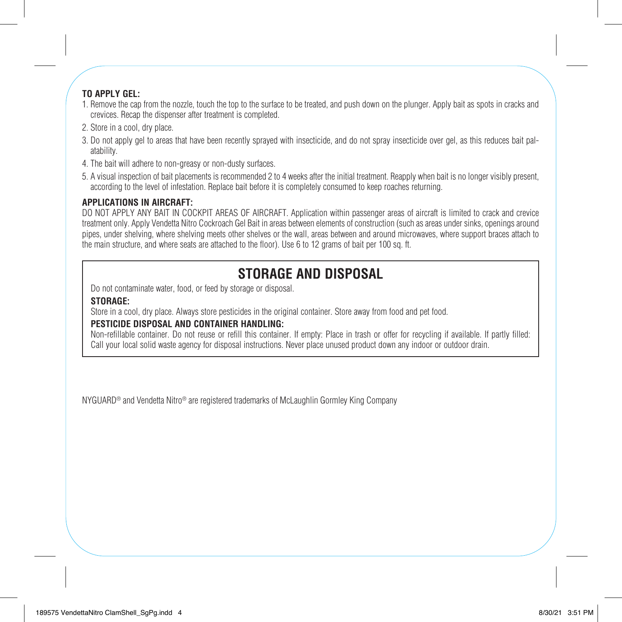#### **TO APPLY GEL:**

- 1. Remove the cap from the nozzle, touch the top to the surface to be treated, and push down on the plunger. Apply bait as spots in cracks and crevices. Recap the dispenser after treatment is completed.
- 2. Store in a cool, dry place.
- 3. Do not apply gel to areas that have been recently sprayed with insecticide, and do not spray insecticide over gel, as this reduces bait palatability.
- 4. The bait will adhere to non-greasy or non-dusty surfaces.
- 5. A visual inspection of bait placements is recommended 2 to 4 weeks after the initial treatment. Reapply when bait is no longer visibly present, according to the level of infestation. Replace bait before it is completely consumed to keep roaches returning.

#### **APPLICATIONS IN AIRCRAFT:**

DO NOT APPLY ANY BAIT IN COCKPIT AREAS OF AIRCRAFT. Application within passenger areas of aircraft is limited to crack and crevice treatment only. Apply Vendetta Nitro Cockroach Gel Bait in areas between elements of construction (such as areas under sinks, openings around pipes, under shelving, where shelving meets other shelves or the wall, areas between and around microwaves, where support braces attach to the main structure, and where seats are attached to the floor). Use 6 to 12 grams of bait per 100 sq. ft.

# **STORAGE AND DISPOSAL**

Do not contaminate water, food, or feed by storage or disposal.

#### **STORAGE:**

Store in a cool, dry place. Always store pesticides in the original container. Store away from food and pet food.

#### **PESTICIDE DISPOSAL AND CONTAINER HANDLING:**

Non-refillable container. Do not reuse or refill this container. If empty: Place in trash or offer for recycling if available. If partly filled: Call your local solid waste agency for disposal instructions. Never place unused product down any indoor or outdoor drain.

NYGUARD® and Vendetta Nitro® are registered trademarks of McLaughlin Gormley King Company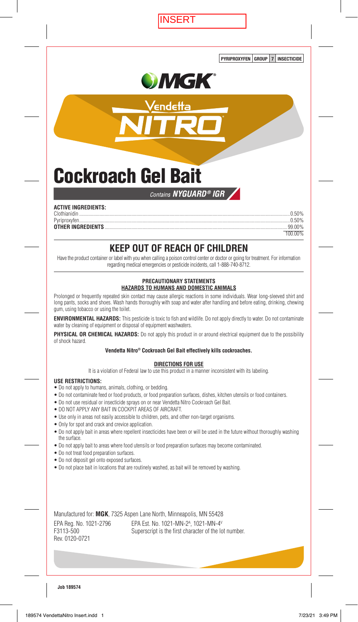**ISERT** 

PYRIPROXYFEN GROUP 7 INSECTICIDE



endet

**Cockroach Gel Bait** 

#### Contains NYGUARD<sup>®</sup> IGR

| <b>ACTIVE INGREDIENTS:</b> |         |
|----------------------------|---------|
|                            |         |
|                            |         |
|                            |         |
|                            | 100 00% |

# KEEP OUT OF REACH OF CHILDREN

Have the product container or label with you when calling a poison control center or doctor or going for treatment. For information regarding medical emergencies or pesticide incidents, call 1-888-740-8712.

#### PRECAUTIONARY STATEMENTS HAZARDS TO HUMANS AND DOMESTIC ANIMALS

Prolonged or frequently repeated skin contact may cause allergic reactions in some individuals. Wear long-sleeved shirt and long pants, socks and shoes. Wash hands thoroughly with soap and water after handling and before eating, drinking, chewing gum, using tobacco or using the toilet.

**ENVIRONMENTAL HAZARDS:** This pesticide is toxic to fish and wildlife. Do not apply directly to water. Do not contaminate water by cleaning of equipment or disposal of equipment washwaters.

PHYSICAL OR CHEMICAL HAZARDS: Do not apply this product in or around electrical equipment due to the possibility of shock hazard.

#### Vendetta Nitro® Cockroach Gel Bait effectively kills cockroaches.

#### **DIRECTIONS FOR USE**

It is a violation of Federal law to use this product in a manner inconsistent with its labeling.

#### **USE RESTRICTIONS:**

- Do not apply to humans, animals, clothing, or bedding.
- . Do not contaminate feed or food products, or food preparation surfaces, dishes, kitchen utensils or food containers.
- . Do not use residual or insecticide sprays on or near Vendetta Nitro Cockroach Gel Bait.
- . DO NOT APPLY ANY BAIT IN COCKPIT AREAS OF AIRCRAFT.
- Use only in areas not easily accessible to children, pets, and other non-target organisms.
- Only for spot and crack and crevice application.
- . Do not apply bait in areas where repellent insecticides have been or will be used in the future without thoroughly washing the surface
- . Do not apply bait to areas where food utensils or food preparation surfaces may become contaminated.
- · Do not treat food preparation surfaces.
- · Do not deposit gel onto exposed surfaces.
- . Do not place bait in locations that are routinely washed, as bait will be removed by washing.

Manufactured for: MGK, 7325 Aspen Lane North, Minneapolis, MN 55428 EPA Reg. No. 1021-2796 EPA Est. No. 1021-MN-2<sup>A</sup>, 1021-MN-4<sup>V</sup> F3113-500 Superscript is the first character of the lot number. Rev. 0120-0721

#### **Job 189574**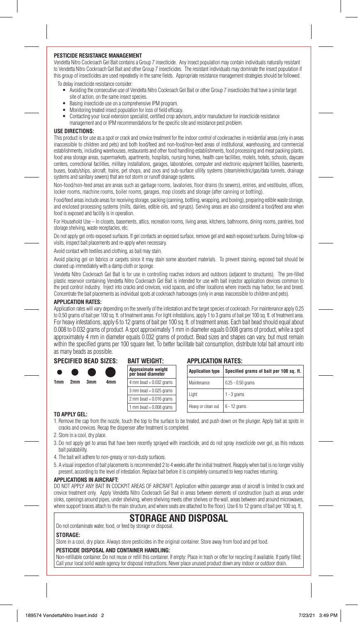#### **PESTICIDE RESISTANCE MANAGEMENT**

Vendetta Nitro Cockroach Gel Bait contains a Group 7 insecticide. Any insect population may contain individuals naturally resistant to Vendetta Nitro Cockroach Gel Bait and other Group 7 insecticides. The resistant individuals may dominate the insect population if this group of insecticides are used repeatedly in the same fields. Appropriate resistance management strategies should be followed. To delay insecticide resistance consider:

- Avoiding the consecutive use of Vendetta Nitro Cockroach Gel Bait or other Group 7 insecticides that have a similar target site of action, on the same insect species.
- Basing insecticide use on a comprehensive IPM program.
- Monitoring treated insect population for loss of field efficacy.
- Contacting your local extension specialist, certified crop advisors, and/or manufacturer for insecticide resistance management and or IPM recommendations for the specific site and resistance pest problem.

#### **USE DIRECTIONS:**

This product is for use as a spot or crack and crevice treatment for the indoor control of cockroaches in residential areas (only in areas inaccessible to children and pets) and both food/feed and non-food/non-feed areas of institutional, warehousing, and commercial establishments, including warehouses, restaurants and other food handling establishments, food processing and meat packing plants, food area storage areas, supermarkets, apartments, hospitals, nursing homes, health care facilities, motels, hotels, schools, daycare centers, correctional facilities, military installations, garages, laboratories, computer and electronic equipment facilities, basements, buses, boats/ships, aircraft, trains, pet shops, and zoos and sub-surface utility systems (steam/electric/gas/data tunnels, drainage systems and sanitary sewers) that are not storm or runoff drainage systems.

Non-food/non-feed areas are areas such as garbage rooms, lavatories, floor drains (to sewers), entries, and vestibules, offices, locker rooms, machine rooms, boiler rooms, garages, mop closets and storage (after canning or bottling).

Food/feed areas include areas for receiving storage, packing (canning, bottling, wrapping, and boxing), preparing edible waste storage, and enclosed processing systems (mills, dairies, edible oils, and syrups). Serving areas are also considered a food/feed area when food is exposed and facility is in operation.

For Household Use – In closets, basements, attics, recreation rooms, living areas, kitchens, bathrooms, dining rooms, pantries, food storage shelving, waste receptacles, etc.

Do not apply gel onto exposed surfaces. If gel contacts an exposed surface, remove gel and wash exposed surfaces. During follow-up visits, inspect bait placements and re-apply when necessary.

Avoid contact with textiles and clothing, as bait may stain.

Avoid placing gel on fabrics or carpets since it may stain some absorbent materials. To prevent staining, exposed bait should be cleaned up immediately with a damp cloth or sponge.

Vendetta Nitro Cockroach Gel Bait is for use in controlling roaches indoors and outdoors (adjacent to structures). The pre-filled plastic reservoir containing Vendetta Nitro Cockroach Gel Bait is intended for use with bait injector application devices common to the pest control industry. Inject into cracks and crevices, void spaces, and other locations where insects may harbor, live and breed. Concentrate the bait placements as individual spots at cockroach harborages (only in areas inaccessible to children and pets).

#### **APPLICATION RATES:**

Application rates will vary depending on the severity of the infestation and the target species of cockroach. For maintenance apply 0.25 to 0.50 grams of bait per 100 sq. ft. of treatment areas. For light infestations, apply 1 to 3 grams of bait per 100 sq. ft. of treatment area. For heavy infestations, apply 6 to 12 grams of bait per 100 sq. ft. of treatment areas. Each bait bead should equal about 0.008 to 0.032 grams of product. A spot approximately 1 mm in diameter equals 0.008 grams of product, while a spot approximately 4 mm in diameter equals 0.032 grams of product. Bead sizes and shapes can vary, but must remain within the specified grams per 100 square feet. To better facilitate bait consumption, distribute total bait amount into as many beads as possible.

**APPLICATION RATES:**

#### **SPECIFIED BEAD SIZES:**

|     |                               |     | UI LUII ILU DLAD UILLU. | <b>UNIL WEIGHT.</b>                     | שותו ווטוווטוח והיה     |                                         |
|-----|-------------------------------|-----|-------------------------|-----------------------------------------|-------------------------|-----------------------------------------|
|     | $\bullet$ $\bullet$ $\bullet$ |     |                         | Approximate weight<br>per bead diameter | <b>Application type</b> | Specified grams of bait per 100 sq. ft. |
| 1mm | 2mm                           | 3mm | 4mm                     | 4 mm bead $= 0.032$ grams               | Maintenance             | 0.25 - 0.50 grams                       |
|     |                               |     |                         | $3$ mm bead = 0.025 grams               |                         |                                         |
|     |                               |     |                         | 2 mm bead = $0.016$ grams               | Light                   | $1 - 3$ grams                           |
|     |                               |     |                         | $mm$ bead = 0.008 grams                 | Heavy or clean out      | $6 - 12$ grams                          |

**BAIT WEIGHT:**

#### **TO APPLY GEL:**

1. Remove the cap from the nozzle, touch the top to the surface to be treated, and push down on the plunger. Apply bait as spots in cracks and crevices. Recap the dispenser after treatment is completed.

- 2. Store in a cool, dry place.
- 3. Do not apply gel to areas that have been recently sprayed with insecticide, and do not spray insecticide over gel, as this reduces bait palatability.
- 4. The bait will adhere to non-greasy or non-dusty surfaces.
- 5. A visual inspection of bait placements is recommended 2 to 4 weeks after the initial treatment. Reapply when bait is no longer visibly present, according to the level of infestation. Replace bait before it is completely consumed to keep roaches returning.

#### **APPLICATIONS IN AIRCRAFT:**

DO NOT APPLY ANY BAIT IN COCKPIT AREAS OF AIRCRAFT. Application within passenger areas of aircraft is limited to crack and crevice treatment only. Apply Vendetta Nitro Cockroach Gel Bait in areas between elements of construction (such as areas under sinks, openings around pipes, under shelving, where shelving meets other shelves or the wall, areas between and around microwaves, where support braces attach to the main structure, and where seats are attached to the floor). Use 6 to 12 grams of bait per 100 sq. ft.

## **STORAGE AND DISPOSAL**

Do not contaminate water, food, or feed by storage or disposal.

#### **STORAGE:**

Store in a cool, dry place. Always store pesticides in the original container. Store away from food and pet food. **PESTICIDE DISPOSAL AND CONTAINER HANDLING:**

Non-refillable container. Do not reuse or refill this container. If empty: Place in trash or offer for recycling if available. If partly filled: Call your local solid waste agency for disposal instructions. Never place unused product down any indoor or outdoor drain.